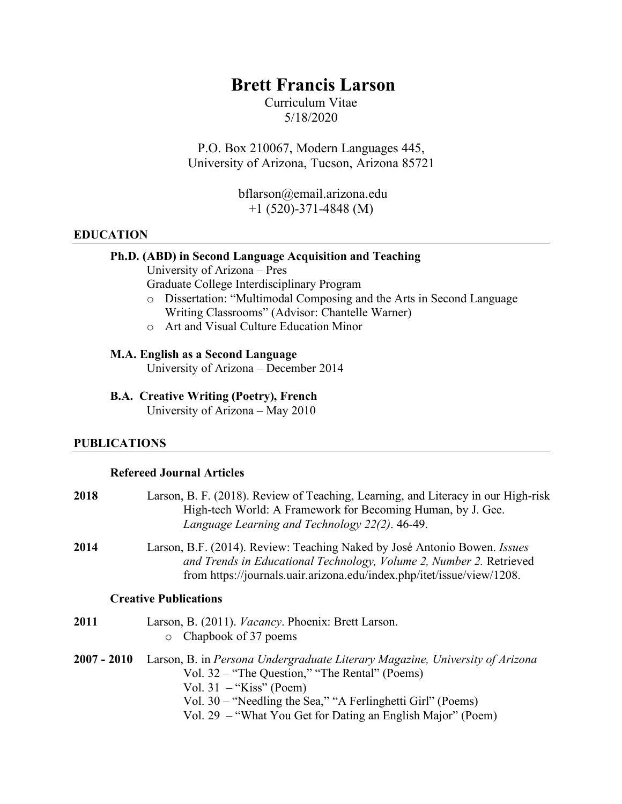# **Brett Francis Larson**

Curriculum Vitae 5/18/2020

P.O. Box 210067, Modern Languages 445, University of Arizona, Tucson, Arizona 85721

> bflarson@email.arizona.edu +1 (520)-371-4848 (M)

#### **EDUCATION**

### **Ph.D. (ABD) in Second Language Acquisition and Teaching**

University of Arizona – Pres

Graduate College Interdisciplinary Program

- o Dissertation: "Multimodal Composing and the Arts in Second Language Writing Classrooms" (Advisor: Chantelle Warner)
- o Art and Visual Culture Education Minor

#### **M.A. English as a Second Language**

University of Arizona – December 2014

**B.A. Creative Writing (Poetry), French**  University of Arizona – May 2010

#### **PUBLICATIONS**

### **Refereed Journal Articles**

| 2018        | Larson, B. F. (2018). Review of Teaching, Learning, and Literacy in our High-risk<br>High-tech World: A Framework for Becoming Human, by J. Gee.<br>Language Learning and Technology 22(2). 46-49.                                                                                        |
|-------------|-------------------------------------------------------------------------------------------------------------------------------------------------------------------------------------------------------------------------------------------------------------------------------------------|
| 2014        | Larson, B.F. (2014). Review: Teaching Naked by José Antonio Bowen. <i>Issues</i><br>and Trends in Educational Technology, Volume 2, Number 2. Retrieved<br>from https://journals.uair.arizona.edu/index.php/itet/issue/view/1208.                                                         |
|             | <b>Creative Publications</b>                                                                                                                                                                                                                                                              |
| 2011        | Larson, B. (2011). <i>Vacancy</i> . Phoenix: Brett Larson.<br>Chapbook of 37 poems<br>$\circ$                                                                                                                                                                                             |
| 2007 - 2010 | Larson, B. in Persona Undergraduate Literary Magazine, University of Arizona<br>Vol. 32 – "The Question," "The Rental" (Poems)<br>Vol. $31 -$ "Kiss" (Poem)<br>Vol. 30 – "Needling the Sea," "A Ferlinghetti Girl" (Poems)<br>Vol. 29 – "What You Get for Dating an English Major" (Poem) |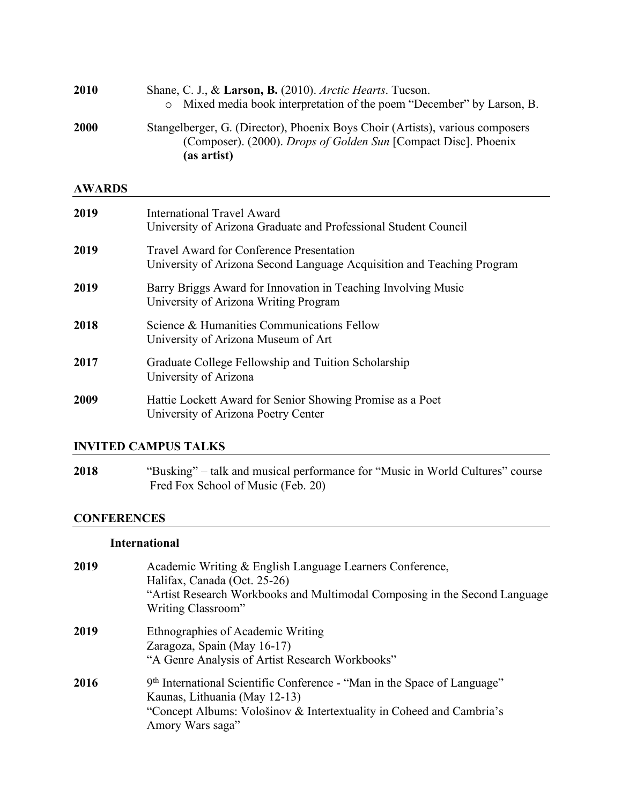| 2010          | Shane, C. J., & Larson, B. (2010). Arctic Hearts. Tucson.<br>Mixed media book interpretation of the poem "December" by Larson, B.<br>$\circ$                           |
|---------------|------------------------------------------------------------------------------------------------------------------------------------------------------------------------|
| 2000          | Stangelberger, G. (Director), Phoenix Boys Choir (Artists), various composers<br>(Composer). (2000). <i>Drops of Golden Sun</i> [Compact Disc]. Phoenix<br>(as artist) |
| <b>AWARDS</b> |                                                                                                                                                                        |
| 2019          | <b>International Travel Award</b><br>University of Arizona Graduate and Professional Student Council                                                                   |
| 2019          | <b>Travel Award for Conference Presentation</b><br>University of Arizona Second Language Acquisition and Teaching Program                                              |
| 2019          | Barry Briggs Award for Innovation in Teaching Involving Music<br>University of Arizona Writing Program                                                                 |
| 2018          | Science & Humanities Communications Fellow<br>University of Arizona Museum of Art                                                                                      |
| 2017          | Graduate College Fellowship and Tuition Scholarship<br>University of Arizona                                                                                           |
| 2009          | Hattie Lockett Award for Senior Showing Promise as a Poet<br>University of Arizona Poetry Center                                                                       |

## **INVITED CAMPUS TALKS**

**2018** "Busking" – talk and musical performance for "Music in World Cultures" course Fred Fox School of Music (Feb. 20)

# **CONFERENCES**

# **International**

| 2019 | Academic Writing & English Language Learners Conference,<br>Halifax, Canada (Oct. 25-26)<br>"Artist Research Workbooks and Multimodal Composing in the Second Language<br>Writing Classroom"          |
|------|-------------------------------------------------------------------------------------------------------------------------------------------------------------------------------------------------------|
| 2019 | Ethnographies of Academic Writing<br>Zaragoza, Spain (May 16-17)<br>"A Genre Analysis of Artist Research Workbooks"                                                                                   |
| 2016 | 9th International Scientific Conference - "Man in the Space of Language"<br>Kaunas, Lithuania (May 12-13)<br>"Concept Albums: Vološinov & Intertextuality in Coheed and Cambria's<br>Amory Wars saga" |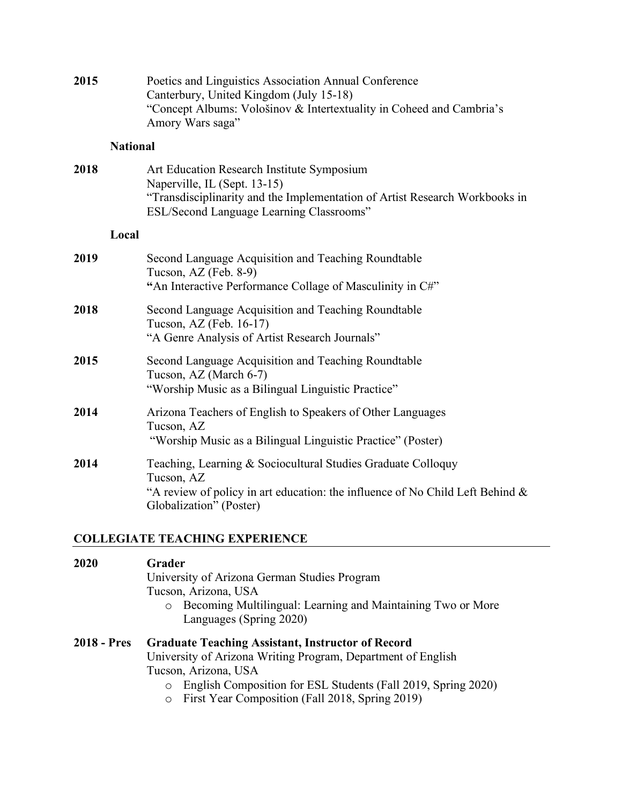| 2015 |                 | Poetics and Linguistics Association Annual Conference<br>Canterbury, United Kingdom (July 15-18)<br>"Concept Albums: Vološinov & Intertextuality in Coheed and Cambria's<br>Amory Wars saga"          |
|------|-----------------|-------------------------------------------------------------------------------------------------------------------------------------------------------------------------------------------------------|
|      | <b>National</b> |                                                                                                                                                                                                       |
| 2018 |                 | Art Education Research Institute Symposium<br>Naperville, IL (Sept. 13-15)<br>"Transdisciplinarity and the Implementation of Artist Research Workbooks in<br>ESL/Second Language Learning Classrooms" |
|      | Local           |                                                                                                                                                                                                       |
| 2019 |                 | Second Language Acquisition and Teaching Roundtable<br>Tucson, AZ (Feb. 8-9)<br>"An Interactive Performance Collage of Masculinity in C#"                                                             |
| 2018 |                 | Second Language Acquisition and Teaching Roundtable<br>Tucson, AZ (Feb. 16-17)<br>"A Genre Analysis of Artist Research Journals"                                                                      |
| 2015 |                 | Second Language Acquisition and Teaching Roundtable<br>Tucson, AZ (March 6-7)<br>"Worship Music as a Bilingual Linguistic Practice"                                                                   |
| 2014 |                 | Arizona Teachers of English to Speakers of Other Languages<br>Tucson, AZ<br>"Worship Music as a Bilingual Linguistic Practice" (Poster)                                                               |
| 2014 |                 | Teaching, Learning & Sociocultural Studies Graduate Colloquy<br>Tucson, AZ<br>"A review of policy in art education: the influence of No Child Left Behind $\&$<br>Globalization" (Poster)             |

# **COLLEGIATE TEACHING EXPERIENCE**

| 2020               | Grader<br>University of Arizona German Studies Program<br>Tucson, Arizona, USA<br>Becoming Multilingual: Learning and Maintaining Two or More<br>$\circ$<br>Languages (Spring 2020)                                                                                                        |
|--------------------|--------------------------------------------------------------------------------------------------------------------------------------------------------------------------------------------------------------------------------------------------------------------------------------------|
| <b>2018 - Pres</b> | <b>Graduate Teaching Assistant, Instructor of Record</b><br>University of Arizona Writing Program, Department of English<br>Tucson, Arizona, USA<br>English Composition for ESL Students (Fall 2019, Spring 2020)<br>$\circ$<br>First Year Composition (Fall 2018, Spring 2019)<br>$\circ$ |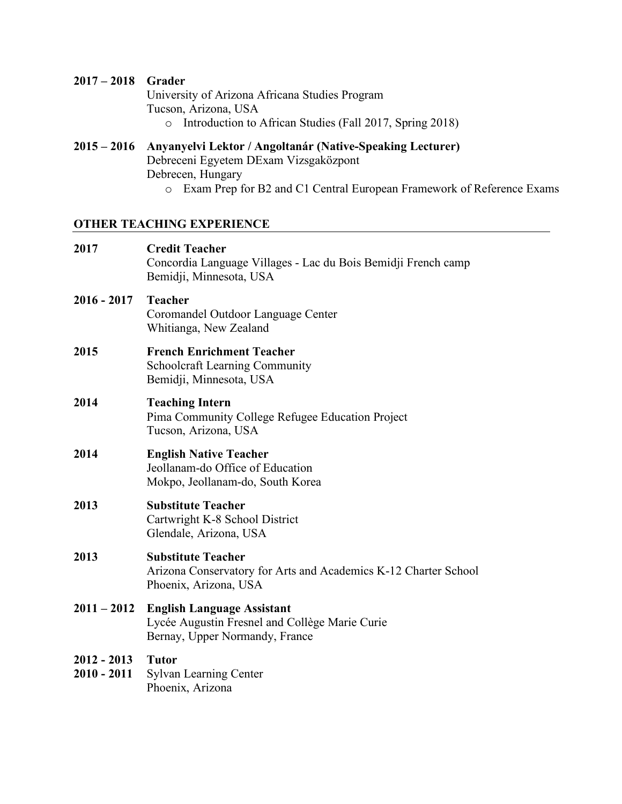## **2017 – 2018 Grader**

University of Arizona Africana Studies Program Tucson, Arizona, USA

o Introduction to African Studies (Fall 2017, Spring 2018)

### **2015 – 2016 Anyanyelvi Lektor / Angoltanár (Native-Speaking Lecturer)** Debreceni Egyetem DExam Vizsgaközpont Debrecen, Hungary

o Exam Prep for B2 and C1 Central European Framework of Reference Exams

# **OTHER TEACHING EXPERIENCE**

| <b>Credit Teacher</b><br>Concordia Language Villages - Lac du Bois Bemidji French camp<br>Bemidji, Minnesota, USA     |
|-----------------------------------------------------------------------------------------------------------------------|
| <b>Teacher</b><br>Coromandel Outdoor Language Center<br>Whitianga, New Zealand                                        |
| <b>French Enrichment Teacher</b><br>Schoolcraft Learning Community<br>Bemidji, Minnesota, USA                         |
| <b>Teaching Intern</b><br>Pima Community College Refugee Education Project<br>Tucson, Arizona, USA                    |
| <b>English Native Teacher</b><br>Jeollanam-do Office of Education<br>Mokpo, Jeollanam-do, South Korea                 |
| <b>Substitute Teacher</b><br>Cartwright K-8 School District<br>Glendale, Arizona, USA                                 |
| <b>Substitute Teacher</b><br>Arizona Conservatory for Arts and Academics K-12 Charter School<br>Phoenix, Arizona, USA |
| <b>English Language Assistant</b><br>Lycée Augustin Fresnel and Collège Marie Curie<br>Bernay, Upper Normandy, France |
| <b>Tutor</b><br><b>Sylvan Learning Center</b><br>Phoenix, Arizona                                                     |
|                                                                                                                       |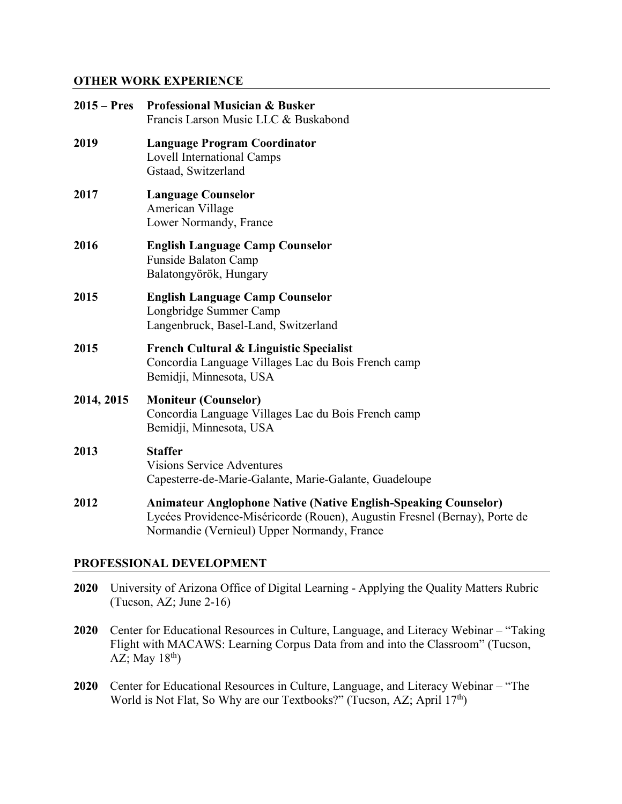### **OTHER WORK EXPERIENCE**

| $2015 - Pres$ | <b>Professional Musician &amp; Busker</b><br>Francis Larson Music LLC & Buskabond                                                                                                                   |
|---------------|-----------------------------------------------------------------------------------------------------------------------------------------------------------------------------------------------------|
| 2019          | <b>Language Program Coordinator</b><br><b>Lovell International Camps</b><br>Gstaad, Switzerland                                                                                                     |
| 2017          | <b>Language Counselor</b><br>American Village<br>Lower Normandy, France                                                                                                                             |
| 2016          | <b>English Language Camp Counselor</b><br>Funside Balaton Camp<br>Balatongyörök, Hungary                                                                                                            |
| 2015          | <b>English Language Camp Counselor</b><br>Longbridge Summer Camp<br>Langenbruck, Basel-Land, Switzerland                                                                                            |
| 2015          | <b>French Cultural &amp; Linguistic Specialist</b><br>Concordia Language Villages Lac du Bois French camp<br>Bemidji, Minnesota, USA                                                                |
| 2014, 2015    | <b>Moniteur (Counselor)</b><br>Concordia Language Villages Lac du Bois French camp<br>Bemidji, Minnesota, USA                                                                                       |
| 2013          | <b>Staffer</b><br><b>Visions Service Adventures</b><br>Capesterre-de-Marie-Galante, Marie-Galante, Guadeloupe                                                                                       |
| 2012          | <b>Animateur Anglophone Native (Native English-Speaking Counselor)</b><br>Lycées Providence-Miséricorde (Rouen), Augustin Fresnel (Bernay), Porte de<br>Normandie (Vernieul) Upper Normandy, France |
|               | PROFESSIONAL DEVELOPMENT                                                                                                                                                                            |

- **2020** University of Arizona Office of Digital Learning Applying the Quality Matters Rubric (Tucson, AZ; June 2-16)
- **2020** Center for Educational Resources in Culture, Language, and Literacy Webinar "Taking Flight with MACAWS: Learning Corpus Data from and into the Classroom" (Tucson, AZ; May  $18^{th}$ )
- **2020** Center for Educational Resources in Culture, Language, and Literacy Webinar "The World is Not Flat, So Why are our Textbooks?" (Tucson, AZ; April 17<sup>th</sup>)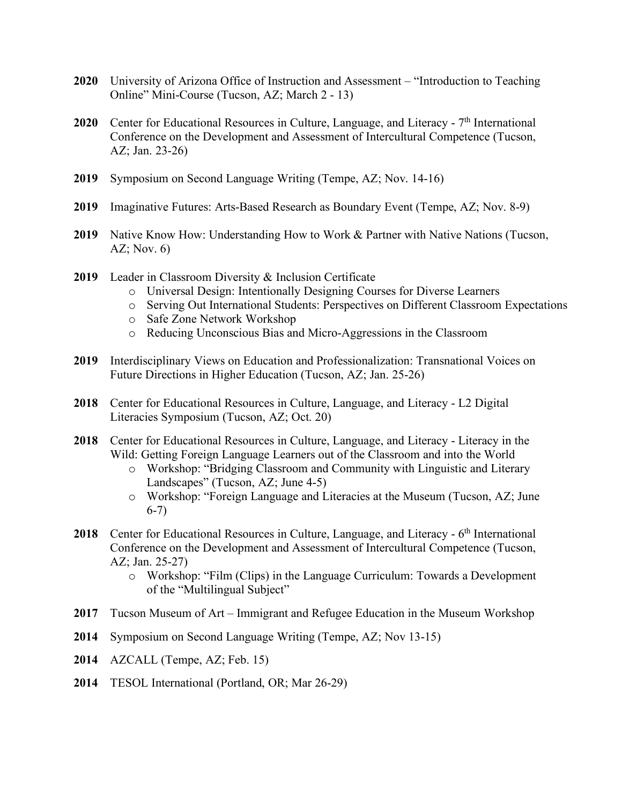- **2020** University of Arizona Office of Instruction and Assessment "Introduction to Teaching Online" Mini-Course (Tucson, AZ; March 2 - 13)
- 2020 Center for Educational Resources in Culture, Language, and Literacy 7<sup>th</sup> International Conference on the Development and Assessment of Intercultural Competence (Tucson, AZ; Jan. 23-26)
- **2019** Symposium on Second Language Writing (Tempe, AZ; Nov. 14-16)
- **2019** Imaginative Futures: Arts-Based Research as Boundary Event (Tempe, AZ; Nov. 8-9)
- **2019** Native Know How: Understanding How to Work & Partner with Native Nations (Tucson, AZ; Nov.  $6)$
- **2019** Leader in Classroom Diversity & Inclusion Certificate
	- o Universal Design: Intentionally Designing Courses for Diverse Learners
	- o Serving Out International Students: Perspectives on Different Classroom Expectations
	- o Safe Zone Network Workshop
	- o Reducing Unconscious Bias and Micro-Aggressions in the Classroom
- **2019** Interdisciplinary Views on Education and Professionalization: Transnational Voices on Future Directions in Higher Education (Tucson, AZ; Jan. 25-26)
- **2018** Center for Educational Resources in Culture, Language, and Literacy L2 Digital Literacies Symposium (Tucson, AZ; Oct. 20)
- **2018** Center for Educational Resources in Culture, Language, and Literacy Literacy in the Wild: Getting Foreign Language Learners out of the Classroom and into the World
	- o Workshop: "Bridging Classroom and Community with Linguistic and Literary Landscapes" (Tucson, AZ; June 4-5)
	- o Workshop: "Foreign Language and Literacies at the Museum (Tucson, AZ; June 6-7)
- 2018 Center for Educational Resources in Culture, Language, and Literacy 6<sup>th</sup> International Conference on the Development and Assessment of Intercultural Competence (Tucson, AZ; Jan. 25-27)
	- o Workshop: "Film (Clips) in the Language Curriculum: Towards a Development of the "Multilingual Subject"
- **2017** Tucson Museum of Art Immigrant and Refugee Education in the Museum Workshop
- **2014** Symposium on Second Language Writing (Tempe, AZ; Nov 13-15)
- **2014** AZCALL (Tempe, AZ; Feb. 15)
- **2014** TESOL International (Portland, OR; Mar 26-29)